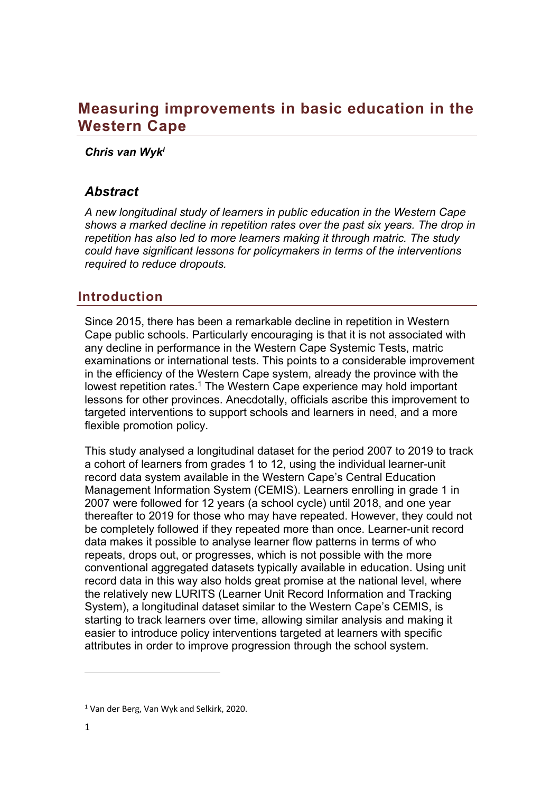# **Measuring improvements in basic education in the Western Cape**

#### *Chris van Wyki*

## *Abstract*

*A new longitudinal study of learners in public education in the Western Cape shows a marked decline in repetition rates over the past six years. The drop in repetition has also led to more learners making it through matric. The study could have significant lessons for policymakers in terms of the interventions required to reduce dropouts.*

## **Introduction**

Since 2015, there has been a remarkable decline in repetition in Western Cape public schools. Particularly encouraging is that it is not associated with any decline in performance in the Western Cape Systemic Tests, matric examinations or international tests. This points to a considerable improvement in the efficiency of the Western Cape system, already the province with the lowest repetition rates.<sup>1</sup> The Western Cape experience may hold important lessons for other provinces. Anecdotally, officials ascribe this improvement to targeted interventions to support schools and learners in need, and a more flexible promotion policy.

This study analysed a longitudinal dataset for the period 2007 to 2019 to track a cohort of learners from grades 1 to 12, using the individual learner-unit record data system available in the Western Cape's Central Education Management Information System (CEMIS). Learners enrolling in grade 1 in 2007 were followed for 12 years (a school cycle) until 2018, and one year thereafter to 2019 for those who may have repeated. However, they could not be completely followed if they repeated more than once. Learner-unit record data makes it possible to analyse learner flow patterns in terms of who repeats, drops out, or progresses, which is not possible with the more conventional aggregated datasets typically available in education. Using unit record data in this way also holds great promise at the national level, where the relatively new LURITS (Learner Unit Record Information and Tracking System), a longitudinal dataset similar to the Western Cape's CEMIS, is starting to track learners over time, allowing similar analysis and making it easier to introduce policy interventions targeted at learners with specific attributes in order to improve progression through the school system.

<sup>1</sup> Van der Berg, Van Wyk and Selkirk, 2020.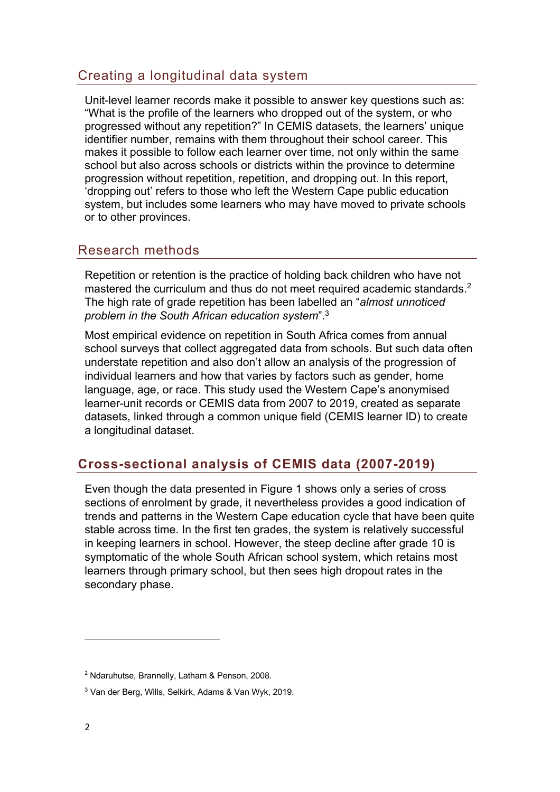# Creating a longitudinal data system

Unit-level learner records make it possible to answer key questions such as: "What is the profile of the learners who dropped out of the system, or who progressed without any repetition?" In CEMIS datasets, the learners' unique identifier number, remains with them throughout their school career. This makes it possible to follow each learner over time, not only within the same school but also across schools or districts within the province to determine progression without repetition, repetition, and dropping out. In this report, 'dropping out' refers to those who left the Western Cape public education system, but includes some learners who may have moved to private schools or to other provinces.

## Research methods

Repetition or retention is the practice of holding back children who have not mastered the curriculum and thus do not meet required academic standards.<sup>2</sup> The high rate of grade repetition has been labelled an "*almost unnoticed problem in the South African education system*".3

Most empirical evidence on repetition in South Africa comes from annual school surveys that collect aggregated data from schools. But such data often understate repetition and also don't allow an analysis of the progression of individual learners and how that varies by factors such as gender, home language, age, or race. This study used the Western Cape's anonymised learner-unit records or CEMIS data from 2007 to 2019, created as separate datasets, linked through a common unique field (CEMIS learner ID) to create a longitudinal dataset.

# **Cross-sectional analysis of CEMIS data (2007-2019)**

Even though the data presented in Figure 1 shows only a series of cross sections of enrolment by grade, it nevertheless provides a good indication of trends and patterns in the Western Cape education cycle that have been quite stable across time. In the first ten grades, the system is relatively successful in keeping learners in school. However, the steep decline after grade 10 is symptomatic of the whole South African school system, which retains most learners through primary school, but then sees high dropout rates in the secondary phase.

<sup>2</sup> Ndaruhutse, Brannelly, Latham & Penson, 2008.

<sup>3</sup> Van der Berg, Wills, Selkirk, Adams & Van Wyk, 2019.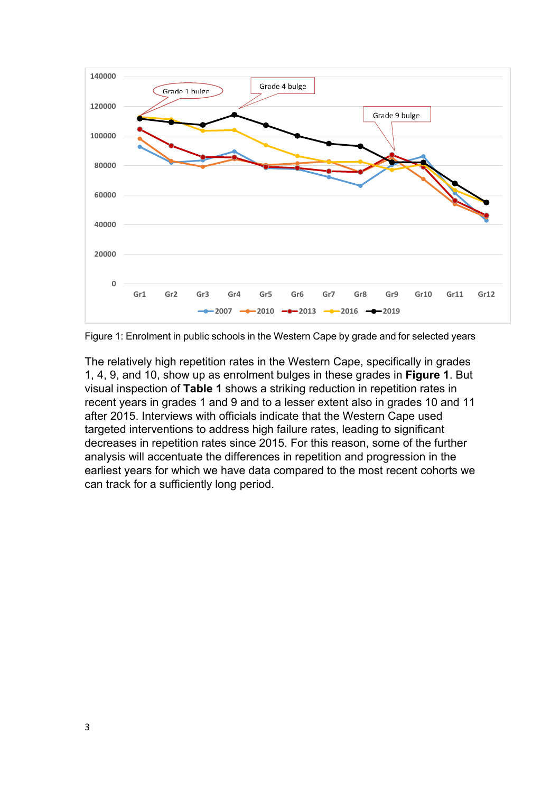

Figure 1: Enrolment in public schools in the Western Cape by grade and for selected years

The relatively high repetition rates in the Western Cape, specifically in grades 1, 4, 9, and 10, show up as enrolment bulges in these grades in **Figure 1**. But visual inspection of **Table 1** shows a striking reduction in repetition rates in recent years in grades 1 and 9 and to a lesser extent also in grades 10 and 11 after 2015. Interviews with officials indicate that the Western Cape used targeted interventions to address high failure rates, leading to significant decreases in repetition rates since 2015. For this reason, some of the further analysis will accentuate the differences in repetition and progression in the earliest years for which we have data compared to the most recent cohorts we can track for a sufficiently long period.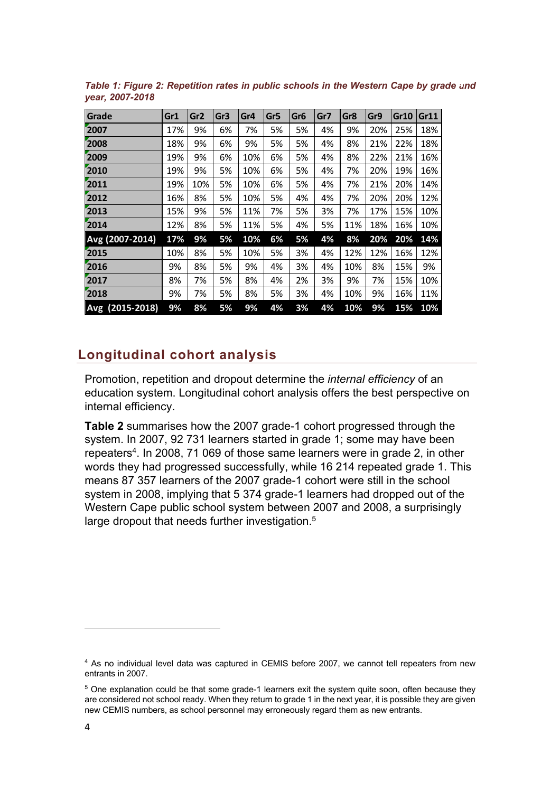| Grade           | Gr1 | Gr2 | Gr3 | Gr4 | Gr5 | Gr6 | Gr7 | Gr8 | Gr9 | <b>Gr10</b> | Gr11 |
|-----------------|-----|-----|-----|-----|-----|-----|-----|-----|-----|-------------|------|
| 2007            | 17% | 9%  | 6%  | 7%  | 5%  | 5%  | 4%  | 9%  | 20% | 25%         | 18%  |
| 2008            | 18% | 9%  | 6%  | 9%  | 5%  | 5%  | 4%  | 8%  | 21% | 22%         | 18%  |
| 2009            | 19% | 9%  | 6%  | 10% | 6%  | 5%  | 4%  | 8%  | 22% | 21%         | 16%  |
| 2010            | 19% | 9%  | 5%  | 10% | 6%  | 5%  | 4%  | 7%  | 20% | 19%         | 16%  |
| 2011            | 19% | 10% | 5%  | 10% | 6%  | 5%  | 4%  | 7%  | 21% | 20%         | 14%  |
| 2012            | 16% | 8%  | 5%  | 10% | 5%  | 4%  | 4%  | 7%  | 20% | 20%         | 12%  |
| 2013            | 15% | 9%  | 5%  | 11% | 7%  | 5%  | 3%  | 7%  | 17% | 15%         | 10%  |
| 2014            | 12% | 8%  | 5%  | 11% | 5%  | 4%  | 5%  | 11% | 18% | 16%         | 10%  |
| Avg (2007-2014) | 17% | 9%  | 5%  | 10% | 6%  | 5%  | 4%  | 8%  | 20% | 20%         | 14%  |
| 2015            | 10% | 8%  | 5%  | 10% | 5%  | 3%  | 4%  | 12% | 12% | 16%         | 12%  |
| 2016            | 9%  | 8%  | 5%  | 9%  | 4%  | 3%  | 4%  | 10% | 8%  | 15%         | 9%   |
| 2017            | 8%  | 7%  | 5%  | 8%  | 4%  | 2%  | 3%  | 9%  | 7%  | 15%         | 10%  |
| 2018            | 9%  | 7%  | 5%  | 8%  | 5%  | 3%  | 4%  | 10% | 9%  | 16%         | 11%  |
| Avg (2015-2018) | 9%  | 8%  | 5%  | 9%  | 4%  | 3%  | 4%  | 10% | 9%  | 15%         | 10%  |

*Table 1: Figure 2: Repetition rates in public schools in the Western Cape by grade and year, 2007-2018*

## **Longitudinal cohort analysis**

Promotion, repetition and dropout determine the *internal efficiency* of an education system. Longitudinal cohort analysis offers the best perspective on internal efficiency.

**Table 2** summarises how the 2007 grade-1 cohort progressed through the system. In 2007, 92 731 learners started in grade 1; some may have been repeaters<sup>4</sup>. In 2008, 71 069 of those same learners were in grade 2, in other words they had progressed successfully, while 16 214 repeated grade 1. This means 87 357 learners of the 2007 grade-1 cohort were still in the school system in 2008, implying that 5 374 grade-1 learners had dropped out of the Western Cape public school system between 2007 and 2008, a surprisingly large dropout that needs further investigation.<sup>5</sup>

<sup>&</sup>lt;sup>4</sup> As no individual level data was captured in CEMIS before 2007, we cannot tell repeaters from new entrants in 2007.

<sup>&</sup>lt;sup>5</sup> One explanation could be that some grade-1 learners exit the system quite soon, often because they are considered not school ready. When they return to grade 1 in the next year, it is possible they are given new CEMIS numbers, as school personnel may erroneously regard them as new entrants.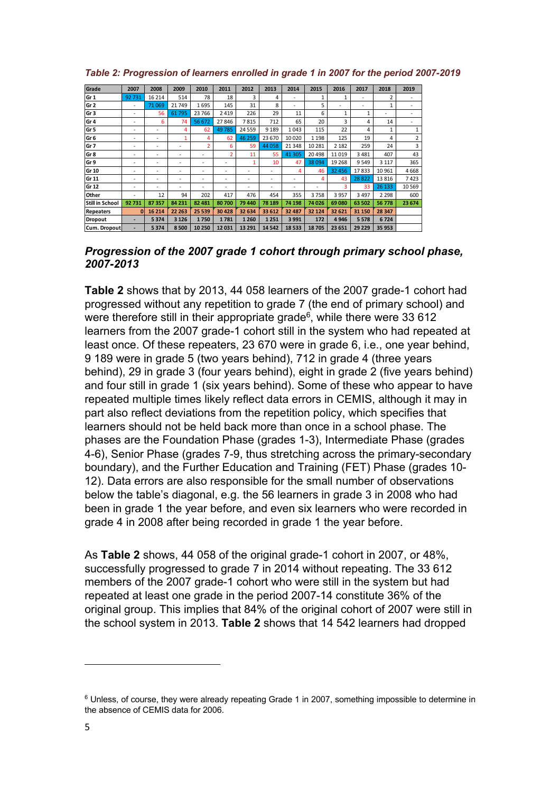| Grade                  | 2007     | 2008    | 2009    | 2010                    | 2011           | 2012     | 2013     | 2014    | 2015         | 2016    | 2017    | 2018           | 2019           |
|------------------------|----------|---------|---------|-------------------------|----------------|----------|----------|---------|--------------|---------|---------|----------------|----------------|
| Gr <sub>1</sub>        | 92731    | 16 214  | 514     | 78                      | 18             | 3        | 4        |         | $\mathbf{1}$ | 1       |         | $\overline{2}$ | ٠              |
| Gr <sub>2</sub>        | ٠        | 71 0 69 | 21749   | 1695                    | 145            | 31       | 8        | ۰       | 5            |         |         | 1              |                |
| Gr <sub>3</sub>        | ٠        | 56      | 61795   | 23 766                  | 2419           | 226      | 29       | 11      | 6            |         | 1       |                |                |
| Gr 4                   | ٠        | 6       | 74      | 56 672                  | 27846          | 7815     | 712      | 65      | 20           | 3       | 4       | 14             |                |
| Gr 5                   |          | ۰       | 4       | 62                      | 49785          | 24 5 5 9 | 9 1 8 9  | 1043    | 115          | 22      | 4       | 1              | 1              |
| Gr 6                   |          |         | 1       | 4                       | 62             | 46 259   | 23 670   | 10 0 20 | 1 1 9 8      | 125     | 19      | 4              | $\overline{2}$ |
| Gr 7                   |          |         | ۰       | $\overline{\mathbf{c}}$ | 6              | 59       | 44 058   | 21 3 48 | 10 28 1      | 2 1 8 2 | 259     | 24             | 3              |
| Gr 8                   |          |         | -       | ٠                       | $\overline{2}$ | 11       | 55       | 41 30 5 | 20 4 98      | 11019   | 3481    | 407            | 43             |
| Gr 9                   |          |         | -       | ٠                       | ٠              | 1        | 10       | 47      | 38 094       | 19 268  | 9549    | 3 1 1 7        | 365            |
| Gr 10                  |          |         | ۰       | ٠                       |                |          |          | 4       | 46           | 32 45 6 | 17833   | 10 961         | 4668           |
| Gr 11                  | ۰        | ٠       | ٠       | ٠                       | ٠              | -        | <u>.</u> | ٠       | 4            | 43      | 28822   | 13816          | 7423           |
| Gr 12                  | ٠        | ٠       | ٠       | ٠                       | ٠              |          |          |         |              | 3       | 33      | 26 133         | 10 5 69        |
| Other                  | ٠        | 12      | 94      | 202                     | 417            | 476      | 454      | 355     | 3758         | 3957    | 3497    | 2 2 9 8        | 600            |
| <b>Still in School</b> | 92731    | 87357   | 84 231  | 82 481                  | 80700          | 79 440   | 78 189   | 74 198  | 74 0 26      | 69 080  | 63 502  | 56778          | 23 674         |
| <b>Repeaters</b>       | $\Omega$ | 16 214  | 22 263  | 25 539                  | 30 4 28        | 32 634   | 33 612   | 32 487  | 32 124       | 32 621  | 31 150  | 28 347         |                |
| Dropout                | ۰        | 5374    | 3 1 2 6 | 1750                    | 1781           | 1 2 6 0  | 1 2 5 1  | 3991    | 172          | 4946    | 5 5 7 8 | 6724           |                |
| Cum. Dropout           | ۰        | 5374    | 8500    | 10 250                  | 12031          | 13 29 1  | 14 5 42  | 18533   | 18705        | 23 651  | 29 229  | 35 953         |                |

*Table 2: Progression of learners enrolled in grade 1 in 2007 for the period 2007-2019*

#### *Progression of the 2007 grade 1 cohort through primary school phase, 2007-2013*

**Table 2** shows that by 2013, 44 058 learners of the 2007 grade-1 cohort had progressed without any repetition to grade 7 (the end of primary school) and were therefore still in their appropriate grade $6$ , while there were 33 612 learners from the 2007 grade-1 cohort still in the system who had repeated at least once. Of these repeaters, 23 670 were in grade 6, i.e., one year behind, 9 189 were in grade 5 (two years behind), 712 in grade 4 (three years behind), 29 in grade 3 (four years behind), eight in grade 2 (five years behind) and four still in grade 1 (six years behind). Some of these who appear to have repeated multiple times likely reflect data errors in CEMIS, although it may in part also reflect deviations from the repetition policy, which specifies that learners should not be held back more than once in a school phase. The phases are the Foundation Phase (grades 1-3), Intermediate Phase (grades 4-6), Senior Phase (grades 7-9, thus stretching across the primary-secondary boundary), and the Further Education and Training (FET) Phase (grades 10- 12). Data errors are also responsible for the small number of observations below the table's diagonal, e.g. the 56 learners in grade 3 in 2008 who had been in grade 1 the year before, and even six learners who were recorded in grade 4 in 2008 after being recorded in grade 1 the year before.

As **Table 2** shows, 44 058 of the original grade-1 cohort in 2007, or 48%, successfully progressed to grade 7 in 2014 without repeating. The 33 612 members of the 2007 grade-1 cohort who were still in the system but had repeated at least one grade in the period 2007-14 constitute 36% of the original group. This implies that 84% of the original cohort of 2007 were still in the school system in 2013. **Table 2** shows that 14 542 learners had dropped

<sup>&</sup>lt;sup>6</sup> Unless, of course, they were already repeating Grade 1 in 2007, something impossible to determine in the absence of CEMIS data for 2006.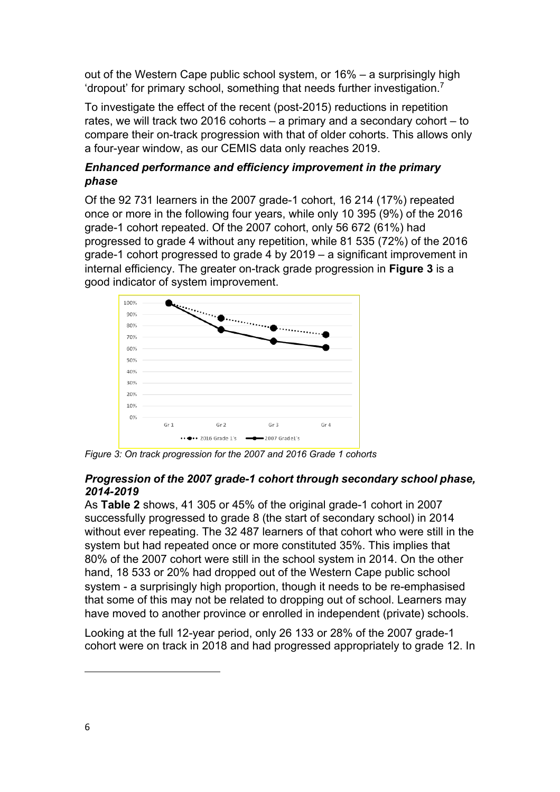out of the Western Cape public school system, or 16% – a surprisingly high 'dropout' for primary school, something that needs further investigation.7

To investigate the effect of the recent (post-2015) reductions in repetition rates, we will track two 2016 cohorts – a primary and a secondary cohort – to compare their on-track progression with that of older cohorts. This allows only a four-year window, as our CEMIS data only reaches 2019.

## *Enhanced performance and efficiency improvement in the primary phase*

Of the 92 731 learners in the 2007 grade-1 cohort, 16 214 (17%) repeated once or more in the following four years, while only 10 395 (9%) of the 2016 grade-1 cohort repeated. Of the 2007 cohort, only 56 672 (61%) had progressed to grade 4 without any repetition, while 81 535 (72%) of the 2016 grade-1 cohort progressed to grade 4 by 2019 – a significant improvement in internal efficiency. The greater on-track grade progression in **Figure 3** is a good indicator of system improvement.



*Figure 3: On track progression for the 2007 and 2016 Grade 1 cohorts*

## *Progression of the 2007 grade-1 cohort through secondary school phase, 2014-2019*

As **Table 2** shows, 41 305 or 45% of the original grade-1 cohort in 2007 successfully progressed to grade 8 (the start of secondary school) in 2014 without ever repeating. The 32 487 learners of that cohort who were still in the system but had repeated once or more constituted 35%. This implies that 80% of the 2007 cohort were still in the school system in 2014. On the other hand, 18 533 or 20% had dropped out of the Western Cape public school system - a surprisingly high proportion, though it needs to be re-emphasised that some of this may not be related to dropping out of school. Learners may have moved to another province or enrolled in independent (private) schools.

Looking at the full 12-year period, only 26 133 or 28% of the 2007 grade-1 cohort were on track in 2018 and had progressed appropriately to grade 12. In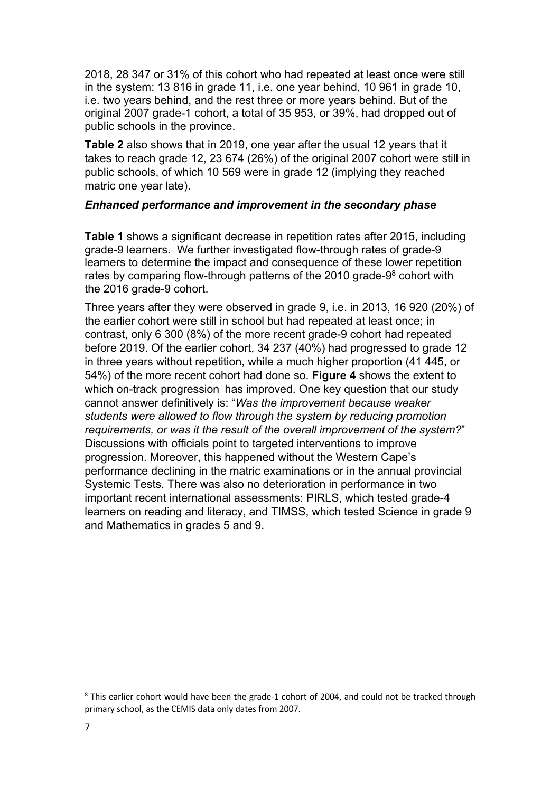2018, 28 347 or 31% of this cohort who had repeated at least once were still in the system: 13 816 in grade 11, i.e. one year behind, 10 961 in grade 10, i.e. two years behind, and the rest three or more years behind. But of the original 2007 grade-1 cohort, a total of 35 953, or 39%, had dropped out of public schools in the province.

**Table 2** also shows that in 2019, one year after the usual 12 years that it takes to reach grade 12, 23 674 (26%) of the original 2007 cohort were still in public schools, of which 10 569 were in grade 12 (implying they reached matric one year late).

#### *Enhanced performance and improvement in the secondary phase*

**Table 1** shows a significant decrease in repetition rates after 2015, including grade-9 learners. We further investigated flow-through rates of grade-9 learners to determine the impact and consequence of these lower repetition rates by comparing flow-through patterns of the 2010 grade-9<sup>8</sup> cohort with the 2016 grade-9 cohort.

Three years after they were observed in grade 9, i.e. in 2013, 16 920 (20%) of the earlier cohort were still in school but had repeated at least once; in contrast, only 6 300 (8%) of the more recent grade-9 cohort had repeated before 2019. Of the earlier cohort, 34 237 (40%) had progressed to grade 12 in three years without repetition, while a much higher proportion (41 445, or 54%) of the more recent cohort had done so. **Figure 4** shows the extent to which on-track progression has improved. One key question that our study cannot answer definitively is: "*Was the improvement because weaker students were allowed to flow through the system by reducing promotion requirements, or was it the result of the overall improvement of the system?*" Discussions with officials point to targeted interventions to improve progression. Moreover, this happened without the Western Cape's performance declining in the matric examinations or in the annual provincial Systemic Tests. There was also no deterioration in performance in two important recent international assessments: PIRLS, which tested grade-4 learners on reading and literacy, and TIMSS, which tested Science in grade 9 and Mathematics in grades 5 and 9.

<sup>&</sup>lt;sup>8</sup> This earlier cohort would have been the grade-1 cohort of 2004, and could not be tracked through primary school, as the CEMIS data only dates from 2007.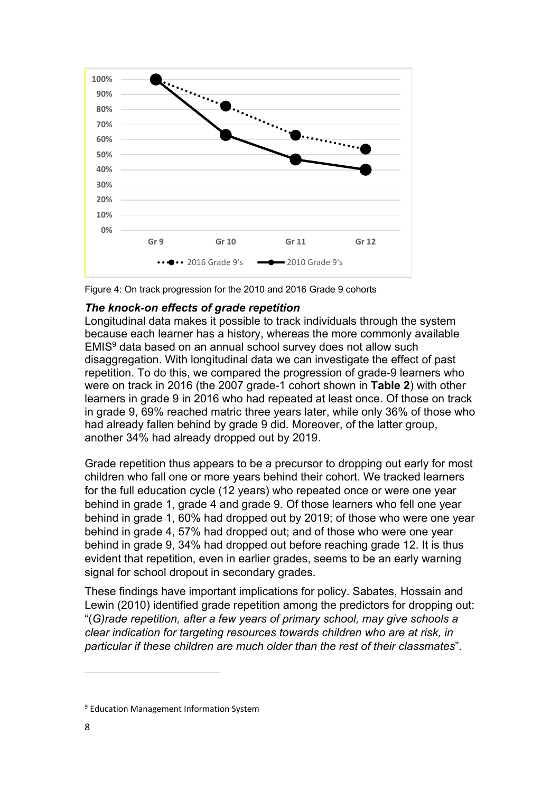

Figure 4: On track progression for the 2010 and 2016 Grade 9 cohorts

### *The knock-on effects of grade repetition*

Longitudinal data makes it possible to track individuals through the system because each learner has a history, whereas the more commonly available EMIS9 data based on an annual school survey does not allow such disaggregation. With longitudinal data we can investigate the effect of past repetition. To do this, we compared the progression of grade-9 learners who were on track in 2016 (the 2007 grade-1 cohort shown in **Table 2**) with other learners in grade 9 in 2016 who had repeated at least once. Of those on track in grade 9, 69% reached matric three years later, while only 36% of those who had already fallen behind by grade 9 did. Moreover, of the latter group, another 34% had already dropped out by 2019.

Grade repetition thus appears to be a precursor to dropping out early for most children who fall one or more years behind their cohort. We tracked learners for the full education cycle (12 years) who repeated once or were one year behind in grade 1, grade 4 and grade 9. Of those learners who fell one year behind in grade 1, 60% had dropped out by 2019; of those who were one year behind in grade 4, 57% had dropped out; and of those who were one year behind in grade 9, 34% had dropped out before reaching grade 12. It is thus evident that repetition, even in earlier grades, seems to be an early warning signal for school dropout in secondary grades.

These findings have important implications for policy. Sabates, Hossain and Lewin (2010) identified grade repetition among the predictors for dropping out: "(*G)rade repetition, after a few years of primary school, may give schools a clear indication for targeting resources towards children who are at risk, in particular if these children are much older than the rest of their classmates*".

<sup>&</sup>lt;sup>9</sup> Education Management Information System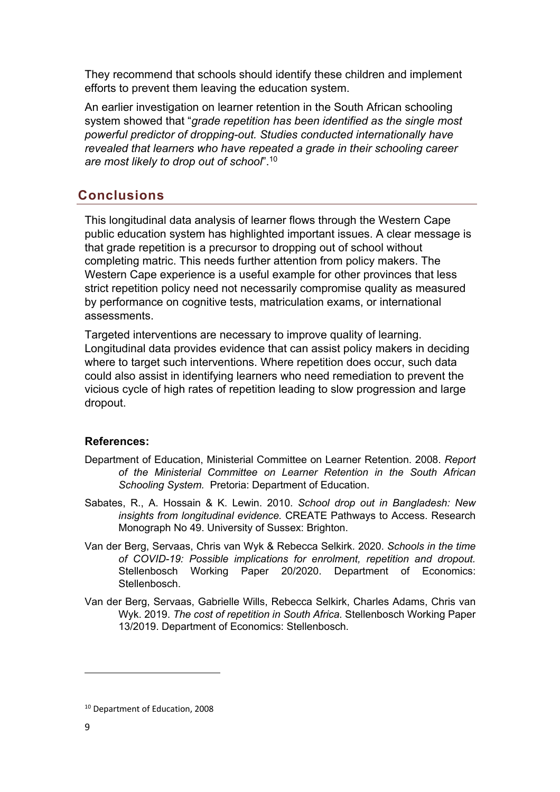They recommend that schools should identify these children and implement efforts to prevent them leaving the education system.

An earlier investigation on learner retention in the South African schooling system showed that "*grade repetition has been identified as the single most powerful predictor of dropping-out. Studies conducted internationally have revealed that learners who have repeated a grade in their schooling career are most likely to drop out of school*". 10

# **Conclusions**

This longitudinal data analysis of learner flows through the Western Cape public education system has highlighted important issues. A clear message is that grade repetition is a precursor to dropping out of school without completing matric. This needs further attention from policy makers. The Western Cape experience is a useful example for other provinces that less strict repetition policy need not necessarily compromise quality as measured by performance on cognitive tests, matriculation exams, or international assessments.

Targeted interventions are necessary to improve quality of learning. Longitudinal data provides evidence that can assist policy makers in deciding where to target such interventions. Where repetition does occur, such data could also assist in identifying learners who need remediation to prevent the vicious cycle of high rates of repetition leading to slow progression and large dropout.

## **References:**

- Department of Education, Ministerial Committee on Learner Retention. 2008. *Report of the Ministerial Committee on Learner Retention in the South African Schooling System.* Pretoria: Department of Education.
- Sabates, R., A. Hossain & K. Lewin. 2010. *School drop out in Bangladesh: New insights from longitudinal evidence.* CREATE Pathways to Access. Research Monograph No 49. University of Sussex: Brighton.
- Van der Berg, Servaas, Chris van Wyk & Rebecca Selkirk. 2020. *Schools in the time of COVID-19: Possible implications for enrolment, repetition and dropout.*  Stellenbosch Working Paper 20/2020. Department of Economics: Stellenbosch.
- Van der Berg, Servaas, Gabrielle Wills, Rebecca Selkirk, Charles Adams, Chris van Wyk. 2019. *The cost of repetition in South Africa.* Stellenbosch Working Paper 13/2019. Department of Economics: Stellenbosch.

<sup>10</sup> Department of Education, 2008